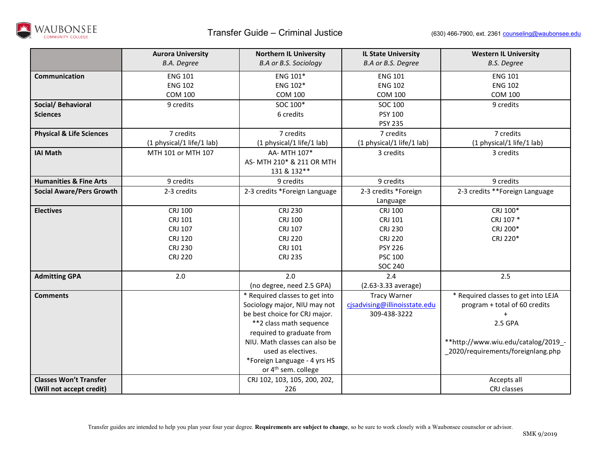

|                                     | <b>Aurora University</b><br><b>B.A.</b> Degree | <b>Northern IL University</b><br><b>B.A or B.S. Sociology</b> | <b>IL State University</b><br>B.A or B.S. Degree | <b>Western IL University</b><br><b>B.S. Degree</b> |
|-------------------------------------|------------------------------------------------|---------------------------------------------------------------|--------------------------------------------------|----------------------------------------------------|
|                                     |                                                |                                                               |                                                  |                                                    |
| Communication                       | <b>ENG 101</b>                                 | ENG 101*                                                      | <b>ENG 101</b>                                   | <b>ENG 101</b>                                     |
|                                     | <b>ENG 102</b>                                 | ENG 102*                                                      | <b>ENG 102</b>                                   | <b>ENG 102</b>                                     |
|                                     | <b>COM 100</b>                                 | <b>COM 100</b>                                                | <b>COM 100</b>                                   | <b>COM 100</b>                                     |
| Social/ Behavioral                  | 9 credits                                      | SOC 100*                                                      | SOC 100                                          | 9 credits                                          |
| <b>Sciences</b>                     |                                                | 6 credits                                                     | <b>PSY 100</b>                                   |                                                    |
|                                     |                                                |                                                               | <b>PSY 235</b>                                   |                                                    |
| <b>Physical &amp; Life Sciences</b> | 7 credits                                      | 7 credits                                                     | 7 credits                                        | 7 credits                                          |
|                                     | (1 physical/1 life/1 lab)                      | (1 physical/1 life/1 lab)                                     | (1 physical/1 life/1 lab)                        | (1 physical/1 life/1 lab)                          |
| <b>IAI Math</b>                     | MTH 101 or MTH 107                             | AA- MTH 107*                                                  | 3 credits                                        | 3 credits                                          |
|                                     |                                                | AS- MTH 210* & 211 OR MTH                                     |                                                  |                                                    |
|                                     |                                                | 131 & 132**                                                   |                                                  |                                                    |
| <b>Humanities &amp; Fine Arts</b>   | 9 credits                                      | 9 credits                                                     | 9 credits                                        | 9 credits                                          |
| <b>Social Aware/Pers Growth</b>     | 2-3 credits                                    | 2-3 credits *Foreign Language                                 | 2-3 credits *Foreign                             | 2-3 credits **Foreign Language                     |
|                                     |                                                |                                                               | Language                                         |                                                    |
| <b>Electives</b>                    | CRJ 100                                        | <b>CRJ 230</b>                                                | CRJ 100                                          | CRJ 100*                                           |
|                                     | CRJ 101                                        | CRJ 100                                                       | CRJ 101                                          | CRJ 107 *                                          |
|                                     | CRJ 107                                        | CRJ 107                                                       | <b>CRJ 230</b>                                   | CRJ 200*                                           |
|                                     | <b>CRJ 120</b>                                 | <b>CRJ 220</b>                                                | <b>CRJ 220</b>                                   | CRJ 220*                                           |
|                                     | <b>CRJ 230</b>                                 | CRJ 101                                                       | <b>PSY 226</b>                                   |                                                    |
|                                     | <b>CRJ 220</b>                                 | <b>CRJ 235</b>                                                | <b>PSC 100</b>                                   |                                                    |
|                                     |                                                |                                                               | <b>SOC 240</b>                                   |                                                    |
| <b>Admitting GPA</b>                | $2.0\,$                                        | 2.0                                                           | 2.4                                              | 2.5                                                |
|                                     |                                                | (no degree, need 2.5 GPA)                                     | (2.63-3.33 average)                              |                                                    |
| <b>Comments</b>                     |                                                | * Required classes to get into                                | Tracy Warner                                     | * Required classes to get into LEJA                |
|                                     |                                                | Sociology major, NIU may not                                  | cjsadvising@illinoisstate.edu                    | program + total of 60 credits                      |
|                                     |                                                | be best choice for CRJ major.                                 | 309-438-3222                                     | $\ddot{}$                                          |
|                                     |                                                | **2 class math sequence                                       |                                                  | 2.5 GPA                                            |
|                                     |                                                | required to graduate from                                     |                                                  |                                                    |
|                                     |                                                | NIU. Math classes can also be                                 |                                                  | **http://www.wiu.edu/catalog/2019 -                |
|                                     |                                                | used as electives.                                            |                                                  | 2020/requirements/foreignlang.php                  |
|                                     |                                                | *Foreign Language - 4 yrs HS                                  |                                                  |                                                    |
|                                     |                                                | or 4 <sup>th</sup> sem. college                               |                                                  |                                                    |
| <b>Classes Won't Transfer</b>       |                                                | CRJ 102, 103, 105, 200, 202,                                  |                                                  | Accepts all                                        |
| (Will not accept credit)            |                                                | 226                                                           |                                                  | CRJ classes                                        |

Transfer guides are intended to help you plan your four year degree. **Requirements are subject to change**, so be sure to work closely with a Waubonsee counselor or advisor.